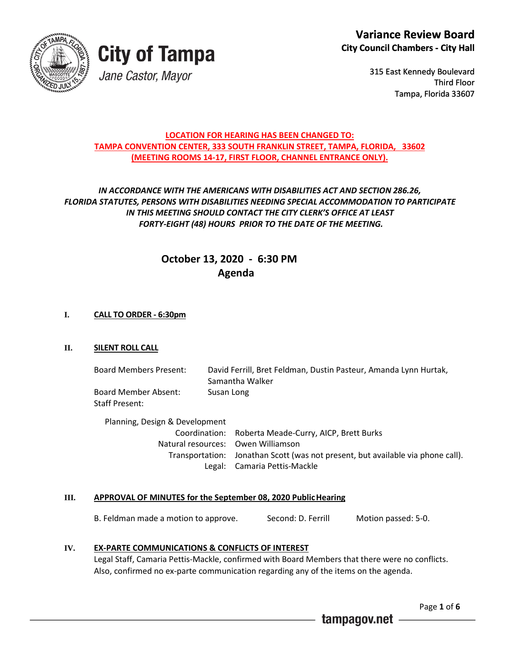



315 East Kennedy Boulevard Third Floor Tampa, Florida 33607

## **LOCATION FOR HEARING HAS BEEN CHANGED TO: TAMPA CONVENTION CENTER, 333 SOUTH FRANKLIN STREET, TAMPA, FLORIDA, 33602 (MEETING ROOMS 14-17, FIRST FLOOR, CHANNEL ENTRANCE ONLY).**

# *IN ACCORDANCE WITH THE AMERICANS WITH DISABILITIES ACT AND SECTION 286.26, FLORIDA STATUTES, PERSONS WITH DISABILITIES NEEDING SPECIAL ACCOMMODATION TO PARTICIPATE IN THIS MEETING SHOULD CONTACT THE CITY CLERK'S OFFICE AT LEAST FORTY-EIGHT (48) HOURS PRIOR TO THE DATE OF THE MEETING.*

# **October 13, 2020 - 6:30 PM Agenda**

## **I. CALL TO ORDER - 6:30pm**

## **II. SILENT ROLL CALL**

Board Members Present: David Ferrill, Bret Feldman, Dustin Pasteur, Amanda Lynn Hurtak, Samantha Walker Board Member Absent: Susan Long Staff Present:

Planning, Design & Development Coordination: Roberta Meade-Curry, AICP, Brett Burks Natural resources: Owen Williamson Transportation: Jonathan Scott (was not present, but available via phone call). Legal: Camaria Pettis-Mackle

### **III. APPROVAL OF MINUTES for the September 08, 2020 PublicHearing**

B. Feldman made a motion to approve. Second: D. Ferrill Motion passed: 5-0.

### **IV. EX-PARTE COMMUNICATIONS & CONFLICTS OF INTEREST**

Legal Staff, Camaria Pettis-Mackle, confirmed with Board Members that there were no conflicts. Also, confirmed no ex-parte communication regarding any of the items on the agenda.

Page **1** of **6**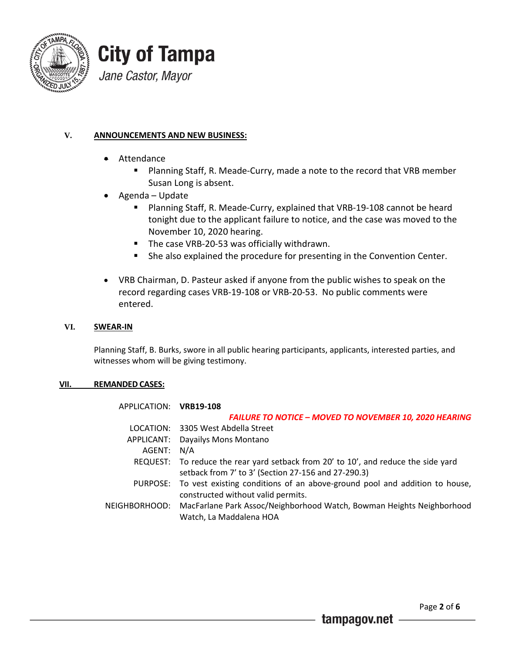



# **V. ANNOUNCEMENTS AND NEW BUSINESS:**

- Attendance
	- **Planning Staff, R. Meade-Curry, made a note to the record that VRB member** Susan Long is absent.
- Agenda Update
	- **Planning Staff, R. Meade-Curry, explained that VRB-19-108 cannot be heard** tonight due to the applicant failure to notice, and the case was moved to the November 10, 2020 hearing.
	- The case VRB-20-53 was officially withdrawn.
	- She also explained the procedure for presenting in the Convention Center.
- VRB Chairman, D. Pasteur asked if anyone from the public wishes to speak on the record regarding cases VRB-19-108 or VRB-20-53. No public comments were entered.

#### **VI. SWEAR-IN**

Planning Staff, B. Burks, swore in all public hearing participants, applicants, interested parties, and witnesses whom will be giving testimony.

### **VII. REMANDED CASES:**

| APPLICATION: VRB19-108 |                                                                                                                                           |
|------------------------|-------------------------------------------------------------------------------------------------------------------------------------------|
|                        | <b>FAILURE TO NOTICE - MOVED TO NOVEMBER 10, 2020 HEARING</b>                                                                             |
|                        | LOCATION: 3305 West Abdella Street                                                                                                        |
| APPLICANT:             | Dayailys Mons Montano                                                                                                                     |
| AGENT:                 | N/A                                                                                                                                       |
|                        | REQUEST: To reduce the rear yard setback from 20' to 10', and reduce the side yard<br>setback from 7' to 3' (Section 27-156 and 27-290.3) |
|                        | PURPOSE: To vest existing conditions of an above-ground pool and addition to house,<br>constructed without valid permits.                 |
| NEIGHBORHOOD:          | MacFarlane Park Assoc/Neighborhood Watch, Bowman Heights Neighborhood<br>Watch, La Maddalena HOA                                          |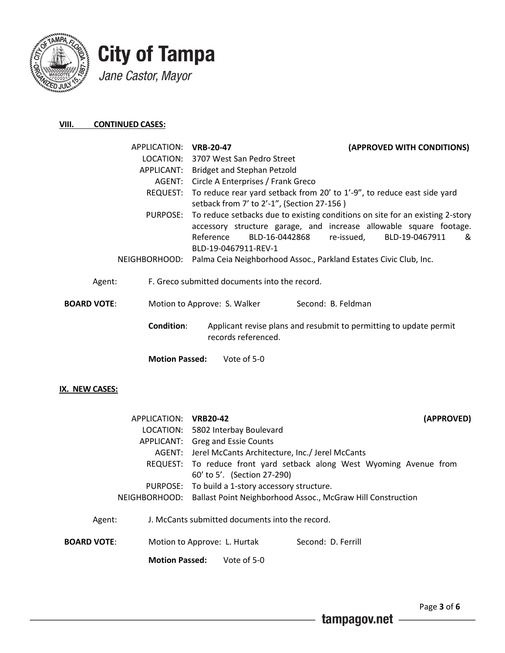



### **VIII. CONTINUED CASES:**

| APPLICATION:       |                       | <b>VRB-20-47</b>                                                  | (APPROVED WITH CONDITIONS)                                                                                                                                                               |
|--------------------|-----------------------|-------------------------------------------------------------------|------------------------------------------------------------------------------------------------------------------------------------------------------------------------------------------|
|                    |                       | LOCATION: 3707 West San Pedro Street                              |                                                                                                                                                                                          |
|                    | APPLICANT:            | Bridget and Stephan Petzold                                       |                                                                                                                                                                                          |
|                    | AGENT:                | Circle A Enterprises / Frank Greco                                |                                                                                                                                                                                          |
|                    | REQUEST:              | setback from 7' to 2'-1", (Section 27-156)                        | To reduce rear yard setback from 20' to 1'-9", to reduce east side yard                                                                                                                  |
|                    | PURPOSE:              | Reference<br>BLD-16-0442868<br>BLD-19-0467911-REV-1               | To reduce setbacks due to existing conditions on site for an existing 2-story<br>accessory structure garage, and increase allowable square footage.<br>re-issued,<br>BLD-19-0467911<br>& |
|                    | NEIGHBORHOOD:         | Palma Ceia Neighborhood Assoc., Parkland Estates Civic Club, Inc. |                                                                                                                                                                                          |
| Agent:             |                       | F. Greco submitted documents into the record.                     |                                                                                                                                                                                          |
| <b>BOARD VOTE:</b> |                       | Motion to Approve: S. Walker                                      | Second: B. Feldman                                                                                                                                                                       |
|                    | <b>Condition:</b>     | records referenced.                                               | Applicant revise plans and resubmit to permitting to update permit                                                                                                                       |
|                    | <b>Motion Passed:</b> | Vote of 5-0                                                       |                                                                                                                                                                                          |
| IX. NEW CASES:     |                       |                                                                   |                                                                                                                                                                                          |
|                    | APPLICATION: VRB20-42 |                                                                   | (APPROVED)                                                                                                                                                                               |
|                    |                       | LOCATION: 5802 Interbay Boulevard                                 |                                                                                                                                                                                          |
|                    | APPLICANT:            | Greg and Essie Counts                                             |                                                                                                                                                                                          |
|                    | AGENT:                | Jerel McCants Architecture, Inc./ Jerel McCants                   |                                                                                                                                                                                          |
|                    | REQUEST:              | 60' to 5'. (Section 27-290)                                       | To reduce front yard setback along West Wyoming Avenue from                                                                                                                              |
|                    | <b>PURPOSE:</b>       | To build a 1-story accessory structure.                           |                                                                                                                                                                                          |

- NEIGHBORHOOD: Ballast Point Neighborhood Assoc., McGraw Hill Construction
- Agent: J. McCants submitted documents into the record.

**BOARD VOTE:** Motion to Approve: L. Hurtak Second: D. Ferrill

 **Motion Passed:** Vote of 5-0

tampagov.net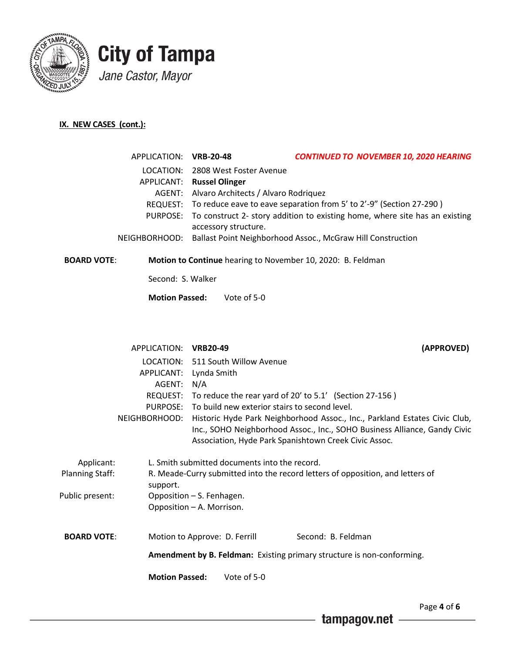

# **City of Tampa** Jane Castor, Mayor

# **IX. NEW CASES (cont.):**

|           | APPLICATION: VRB-20-48 |                                             | <b>CONTINUED TO NOVEMBER 10, 2020 HEARING</b>                                        |
|-----------|------------------------|---------------------------------------------|--------------------------------------------------------------------------------------|
|           |                        | LOCATION: 2808 West Foster Avenue           |                                                                                      |
|           |                        | <b>APPLICANT:</b> Russel Olinger            |                                                                                      |
|           |                        | AGENT: Alvaro Architects / Alvaro Rodriquez |                                                                                      |
|           |                        |                                             | REQUEST: To reduce eave to eave separation from 5' to 2'-9" (Section 27-290)         |
|           |                        | accessory structure.                        | PURPOSE: To construct 2- story addition to existing home, where site has an existing |
|           |                        |                                             | NEIGHBORHOOD: Ballast Point Neighborhood Assoc., McGraw Hill Construction            |
| . <i></i> |                        |                                             |                                                                                      |

**BOARD VOTE**: **Motion to Continue** hearing to November 10, 2020: B. Feldman

Second: S. Walker

**Motion Passed:** Vote of 5-0

|                        | APPLICATION: VRB20-49     |                                                                                |                                                         |  | (APPROVED)                                                                    |
|------------------------|---------------------------|--------------------------------------------------------------------------------|---------------------------------------------------------|--|-------------------------------------------------------------------------------|
|                        |                           |                                                                                | LOCATION: 511 South Willow Avenue                       |  |                                                                               |
|                        | APPLICANT:                | Lynda Smith                                                                    |                                                         |  |                                                                               |
|                        | AGENT:                    | N/A                                                                            |                                                         |  |                                                                               |
|                        | REQUEST:                  |                                                                                | To reduce the rear yard of 20' to 5.1' (Section 27-156) |  |                                                                               |
|                        |                           |                                                                                | PURPOSE: To build new exterior stairs to second level.  |  |                                                                               |
|                        | NEIGHBORHOOD:             |                                                                                |                                                         |  | Historic Hyde Park Neighborhood Assoc., Inc., Parkland Estates Civic Club,    |
|                        |                           |                                                                                |                                                         |  | Inc., SOHO Neighborhood Assoc., Inc., SOHO Business Alliance, Gandy Civic     |
|                        |                           |                                                                                | Association, Hyde Park Spanishtown Creek Civic Assoc.   |  |                                                                               |
| Applicant:             |                           |                                                                                | L. Smith submitted documents into the record.           |  |                                                                               |
| <b>Planning Staff:</b> |                           | R. Meade-Curry submitted into the record letters of opposition, and letters of |                                                         |  |                                                                               |
|                        | support.                  |                                                                                |                                                         |  |                                                                               |
| Public present:        | Opposition - S. Fenhagen. |                                                                                |                                                         |  |                                                                               |
|                        | Opposition - A. Morrison. |                                                                                |                                                         |  |                                                                               |
|                        |                           |                                                                                |                                                         |  |                                                                               |
| <b>BOARD VOTE:</b>     |                           |                                                                                | Motion to Approve: D. Ferrill                           |  | Second: B. Feldman                                                            |
|                        |                           |                                                                                |                                                         |  | <b>Amendment by B. Feldman:</b> Existing primary structure is non-conforming. |
|                        |                           |                                                                                |                                                         |  |                                                                               |
|                        | <b>Motion Passed:</b>     |                                                                                | Vote of 5-0                                             |  |                                                                               |
|                        |                           |                                                                                |                                                         |  |                                                                               |

Page **4** of **6**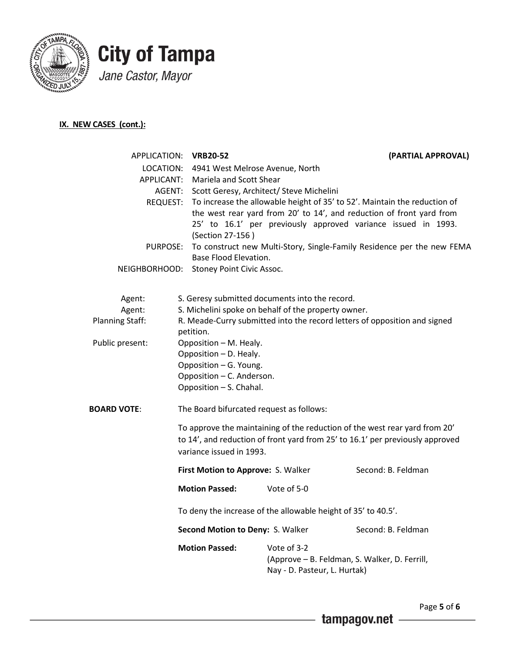



# **IX. NEW CASES (cont.):**

| APPLICATION:           | <b>VRB20-52</b>                                                                                 |                                                | (PARTIAL APPROVAL)                                                                                                                                                                                                 |  |  |
|------------------------|-------------------------------------------------------------------------------------------------|------------------------------------------------|--------------------------------------------------------------------------------------------------------------------------------------------------------------------------------------------------------------------|--|--|
| LOCATION:              | 4941 West Melrose Avenue, North                                                                 |                                                |                                                                                                                                                                                                                    |  |  |
| APPLICANT:             | Mariela and Scott Shear<br>Scott Geresy, Architect/ Steve Michelini                             |                                                |                                                                                                                                                                                                                    |  |  |
| AGENT:                 |                                                                                                 |                                                |                                                                                                                                                                                                                    |  |  |
| REQUEST:               | (Section 27-156)                                                                                |                                                | To increase the allowable height of 35' to 52'. Maintain the reduction of<br>the west rear yard from 20' to 14', and reduction of front yard from<br>25' to 16.1' per previously approved variance issued in 1993. |  |  |
| PURPOSE:               | To construct new Multi-Story, Single-Family Residence per the new FEMA<br>Base Flood Elevation. |                                                |                                                                                                                                                                                                                    |  |  |
| NEIGHBORHOOD:          | Stoney Point Civic Assoc.                                                                       |                                                |                                                                                                                                                                                                                    |  |  |
| Agent:                 |                                                                                                 | S. Geresy submitted documents into the record. |                                                                                                                                                                                                                    |  |  |
| Agent:                 | S. Michelini spoke on behalf of the property owner.                                             |                                                |                                                                                                                                                                                                                    |  |  |
| <b>Planning Staff:</b> | R. Meade-Curry submitted into the record letters of opposition and signed<br>petition.          |                                                |                                                                                                                                                                                                                    |  |  |
| Public present:        | Opposition - M. Healy.                                                                          |                                                |                                                                                                                                                                                                                    |  |  |
|                        | Opposition - D. Healy.                                                                          |                                                |                                                                                                                                                                                                                    |  |  |
|                        | Opposition - G. Young.                                                                          |                                                |                                                                                                                                                                                                                    |  |  |
|                        | Opposition - C. Anderson.<br>Opposition - S. Chahal.                                            |                                                |                                                                                                                                                                                                                    |  |  |
|                        |                                                                                                 |                                                |                                                                                                                                                                                                                    |  |  |
| <b>BOARD VOTE:</b>     | The Board bifurcated request as follows:                                                        |                                                |                                                                                                                                                                                                                    |  |  |
|                        | variance issued in 1993.                                                                        |                                                | To approve the maintaining of the reduction of the west rear yard from 20'<br>to 14', and reduction of front yard from 25' to 16.1' per previously approved                                                        |  |  |
|                        | First Motion to Approve: S. Walker                                                              |                                                | Second: B. Feldman                                                                                                                                                                                                 |  |  |
|                        | <b>Motion Passed:</b>                                                                           | Vote of 5-0                                    |                                                                                                                                                                                                                    |  |  |
|                        | To deny the increase of the allowable height of 35' to 40.5'.                                   |                                                |                                                                                                                                                                                                                    |  |  |
|                        | Second Motion to Deny: S. Walker                                                                |                                                | Second: B. Feldman                                                                                                                                                                                                 |  |  |
|                        | <b>Motion Passed:</b>                                                                           | Vote of 3-2<br>Nay - D. Pasteur, L. Hurtak)    | (Approve - B. Feldman, S. Walker, D. Ferrill,                                                                                                                                                                      |  |  |